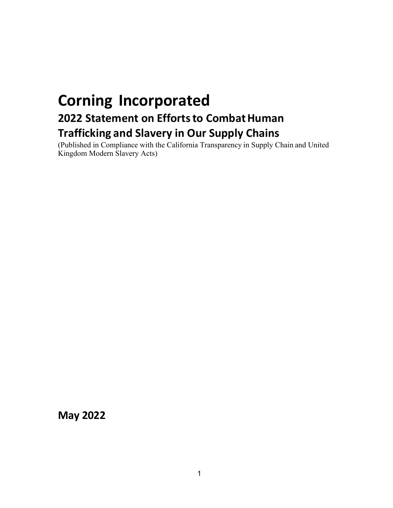# **Corning Incorporated 2022 Statement on Efforts to Combat Human Trafficking and Slavery in Our Supply Chains**

(Published in Compliance with the California Transparency in Supply Chain and United Kingdom Modern Slavery Acts)

**May 2022**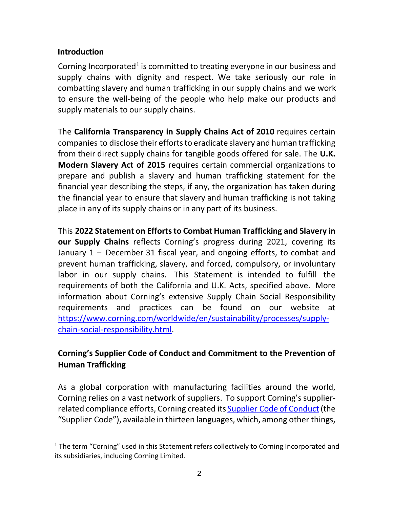### **Introduction**

Corning Incorporated<sup>[1](#page-1-0)</sup> is committed to treating everyone in our business and supply chains with dignity and respect. We take seriously our role in combatting slavery and human trafficking in our supply chains and we work to ensure the well-being of the people who help make our products and supply materials to our supply chains.

The **California Transparency in Supply Chains Act of 2010** requires certain companies to disclose their efforts to eradicate slavery and human trafficking from their direct supply chains for tangible goods offered for sale. The **U.K. Modern Slavery Act of 2015** requires certain commercial organizations to prepare and publish a slavery and human trafficking statement for the financial year describing the steps, if any, the organization has taken during the financial year to ensure that slavery and human trafficking is not taking place in any of itssupply chains or in any part of its business.

This **2022 Statement on Effortsto CombatHuman Trafficking and Slavery in our Supply Chains** reflects Corning's progress during 2021, covering its January 1 – December 31 fiscal year, and ongoing efforts, to combat and prevent human trafficking, slavery, and forced, compulsory, or involuntary labor in our supply chains. This Statement is intended to fulfill the requirements of both the California and U.K. Acts, specified above. More information about Corning's extensive Supply Chain Social Responsibility requirements and practices can be found on our website at [https://www.corning.com/worldwide/en/sustainability/processes/supply](https://www.corning.com/worldwide/en/sustainability/processes/supply-chain-social-responsibility.html)[chain-social-responsibility.html.](https://www.corning.com/worldwide/en/sustainability/processes/supply-chain-social-responsibility.html)

# **Corning's Supplier Code of Conduct and Commitment to the Prevention of Human Trafficking**

As a global corporation with manufacturing facilities around the world, Corning relies on a vast network of suppliers. To support Corning's supplierrelated compliance efforts, Corning created its Supplier Code of Conduct (the "Supplier Code"), available in thirteen languages, which, among other things,

<span id="page-1-0"></span><sup>&</sup>lt;sup>1</sup> The term "Corning" used in this Statement refers collectively to Corning Incorporated and its subsidiaries, including Corning Limited.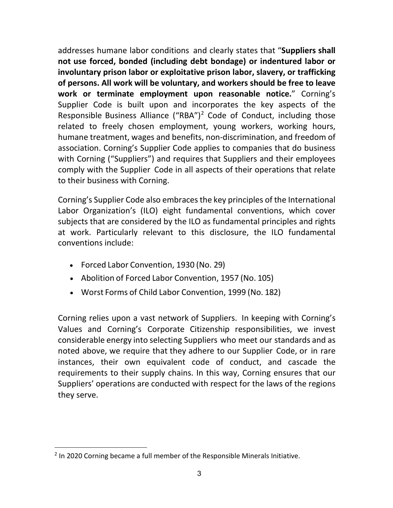addresses humane labor conditions and clearly states that "**Suppliers shall not use forced, bonded (including debt bondage) or indentured labor or involuntary prison labor or exploitative prison labor, slavery, or trafficking of persons. All work will be voluntary, and workers should be free to leave work or terminate employment upon reasonable notice.**" Corning's Supplier Code is built upon and incorporates the key aspects of the Responsible Business Alliance ("RBA")<sup>[2](#page-2-0)</sup> Code of Conduct, including those related to freely chosen employment, young workers, working hours, humane treatment, wages and benefits, non-discrimination, and freedom of association. Corning's Supplier Code applies to companies that do business with Corning ("Suppliers") and requires that Suppliers and their employees comply with the Supplier Code in all aspects of their operations that relate to their business with Corning.

Corning's Supplier Code also embraces the key principles of the International Labor Organization's (ILO) eight fundamental conventions, which cover subjects that are considered by the ILO as fundamental principles and rights at work. Particularly relevant to this disclosure, the ILO fundamental conventions include:

- Forced Labor Convention, 1930 (No. 29)
- Abolition of Forced Labor Convention, 1957 (No. 105)
- Worst Forms of Child Labor Convention, 1999 (No. 182)

Corning relies upon a vast network of Suppliers. In keeping with Corning's Values and Corning's Corporate Citizenship responsibilities, we invest considerable energy into selecting Suppliers who meet our standards and as noted above, we require that they adhere to our Supplier Code, or in rare instances, their own equivalent code of conduct, and cascade the requirements to their supply chains. In this way, Corning ensures that our Suppliers' operations are conducted with respect for the laws of the regions they serve.

<span id="page-2-0"></span><sup>&</sup>lt;sup>2</sup> In 2020 Corning became a full member of the Responsible Minerals Initiative.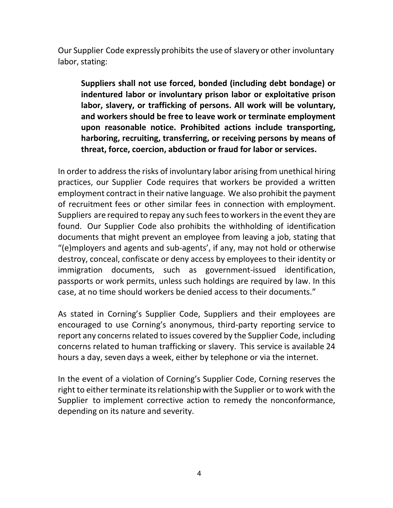Our Supplier Code expressly prohibits the use of slavery or other involuntary labor, stating:

**Suppliers shall not use forced, bonded (including debt bondage) or indentured labor or involuntary prison labor or exploitative prison labor, slavery, or trafficking of persons. All work will be voluntary, and workers should be free to leave work or terminate employment upon reasonable notice. Prohibited actions include transporting, harboring, recruiting, transferring, or receiving persons by means of threat, force, coercion, abduction or fraud for labor or services.**

In order to address the risks of involuntary labor arising from unethical hiring practices, our Supplier Code requires that workers be provided a written employment contract in their native language. We also prohibit the payment of recruitment fees or other similar fees in connection with employment. Suppliers are required to repay any such feesto workersin the event they are found. Our Supplier Code also prohibits the withholding of identification documents that might prevent an employee from leaving a job, stating that "(e)mployers and agents and sub-agents', if any, may not hold or otherwise destroy, conceal, confiscate or deny access by employees to their identity or immigration documents, such as government-issued identification, passports or work permits, unless such holdings are required by law. In this case, at no time should workers be denied access to their documents."

As stated in Corning's Supplier Code, Suppliers and their employees are encouraged to use Corning's anonymous, third-party reporting service to report any concerns related to issues covered by the Supplier Code, including concerns related to human trafficking or slavery. This service is available 24 hours a day, seven days a week, either by telephone or via the internet.

In the event of a violation of Corning's Supplier Code, Corning reserves the right to either terminate itsrelationship with the Supplier or to work with the Supplier to implement corrective action to remedy the nonconformance, depending on its nature and severity.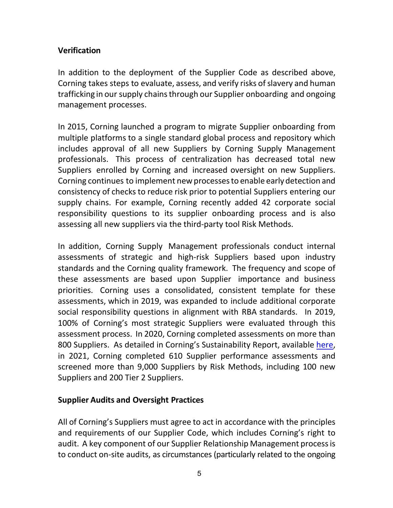## **Verification**

In addition to the deployment of the Supplier Code as described above, Corning takes steps to evaluate, assess, and verify risks of slavery and human trafficking in our supply chainsthrough our Supplier onboarding and ongoing management processes.

In 2015, Corning launched a program to migrate Supplier onboarding from multiple platforms to a single standard global process and repository which includes approval of all new Suppliers by Corning Supply Management professionals. This process of centralization has decreased total new Suppliers enrolled by Corning and increased oversight on new Suppliers. Corning continues to implement new processes to enable early detection and consistency of checks to reduce risk prior to potential Suppliers entering our supply chains. For example, Corning recently added 42 corporate social responsibility questions to its supplier onboarding process and is also assessing all new suppliers via the third-party tool Risk Methods.

In addition, Corning Supply Management professionals conduct internal assessments of strategic and high-risk Suppliers based upon industry standards and the Corning quality framework. The frequency and scope of these assessments are based upon Supplier importance and business priorities. Corning uses a consolidated, consistent template for these assessments, which in 2019, was expanded to include additional corporate social responsibility questions in alignment with RBA standards. In 2019, 100% of Corning's most strategic Suppliers were evaluated through this assessment process. In 2020, Corning completed assessments on more than 800 Suppliers. As detailed in Corning's Sustainability Report, available [here,](https://www.corning.com/media/worldwide/global/documents/2021_Sustainability_Report_Corning_Incorporated.pdf) in 2021, Corning completed 610 Supplier performance assessments and screened more than 9,000 Suppliers by Risk Methods, including 100 new Suppliers and 200 Tier 2 Suppliers.

### **Supplier Audits and Oversight Practices**

All of Corning's Suppliers must agree to act in accordance with the principles and requirements of our Supplier Code, which includes Corning's right to audit. A key component of our Supplier Relationship Management processis to conduct on-site audits, as circumstances (particularly related to the ongoing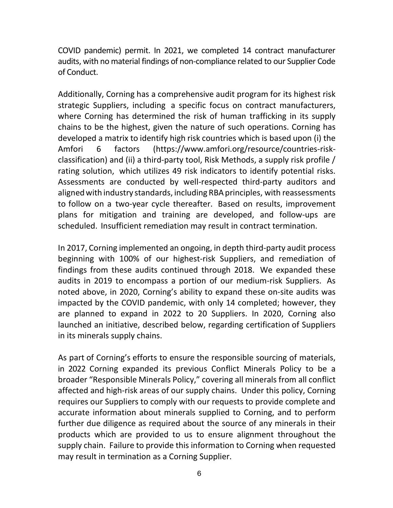COVID pandemic) permit. In 2021, we completed 14 contract manufacturer audits, with no material findings of non-compliance related to our Supplier Code of Conduct.

Additionally, Corning has a comprehensive audit program for its highest risk strategic Suppliers, including a specific focus on contract manufacturers, where Corning has determined the risk of human trafficking in its supply chains to be the highest, given the nature of such operations. Corning has developed a matrix to identify high risk countries which is based upon (i) the Amfori 6 factors [\(https://www.amfori.org/resource/countries-risk](https://www.amfori.org/resource/countries-risk-classification)[classification\)](https://www.amfori.org/resource/countries-risk-classification) and (ii) a third-party tool, Risk Methods, a supply risk profile / rating solution, which utilizes 49 risk indicators to identify potential risks. Assessments are conducted by well-respected third-party auditors and aligned with industry standards, including RBA principles, with reassessments to follow on a two-year cycle thereafter. Based on results, improvement plans for mitigation and training are developed, and follow-ups are scheduled. Insufficient remediation may result in contract termination.

In 2017, Corning implemented an ongoing, in depth third-party audit process beginning with 100% of our highest-risk Suppliers, and remediation of findings from these audits continued through 2018. We expanded these audits in 2019 to encompass a portion of our medium-risk Suppliers. As noted above, in 2020, Corning's ability to expand these on-site audits was impacted by the COVID pandemic, with only 14 completed; however, they are planned to expand in 2022 to 20 Suppliers. In 2020, Corning also launched an initiative, described below, regarding certification of Suppliers in its minerals supply chains.

As part of Corning's efforts to ensure the responsible sourcing of materials, in 2022 Corning expanded its previous Conflict Minerals Policy to be a broader "Responsible Minerals Policy," covering all minerals from all conflict affected and high-risk areas of our supply chains. Under this policy, Corning requires our Suppliers to comply with our requests to provide complete and accurate information about minerals supplied to Corning, and to perform further due diligence as required about the source of any minerals in their products which are provided to us to ensure alignment throughout the supply chain. Failure to provide this information to Corning when requested may result in termination as a Corning Supplier.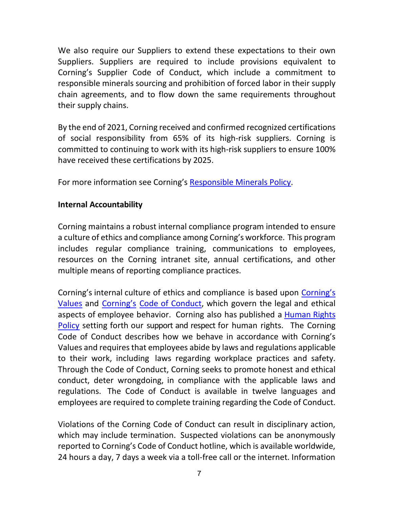We also require our Suppliers to extend these expectations to their own Suppliers. Suppliers are required to include provisions equivalent to Corning's Supplier Code of Conduct, which include a commitment to responsible minerals sourcing and prohibition of forced labor in their supply chain agreements, and to flow down the same requirements throughout their supply chains.

By the end of 2021, Corning received and confirmed recognized certifications of social responsibility from 65% of its high-risk suppliers. Corning is committed to continuing to work with its high-risk suppliers to ensure 100% have received these certifications by 2025.

For more information see Corning's [Responsible Minerals Policy.](https://www.corning.com/worldwide/en/sustainability/processes/supply-chain-social-responsibility/social/conflict-minerals-policy.html)

## **Internal Accountability**

Corning maintains a robust internal compliance program intended to ensure a culture of ethics and compliance among Corning's workforce. This program includes regular compliance training, communications to employees, resources on the Corning intranet site, annual certifications, and other multiple means of reporting compliance practices.

Corning's internal culture of ethics and compliance is based upon [Corning's](http://www.corning.com/worldwide/en/sustainability/people/values.html) [Values](http://www.corning.com/worldwide/en/sustainability/people/values.html) and [Corning's](https://s22.q4cdn.com/662497847/files/doc_downloads/code_of_conduct/Code-of-Conduct-English-USA.PDF) Code of [Conduct,](https://s22.q4cdn.com/662497847/files/doc_downloads/code_of_conduct/Code-of-Conduct-English-USA.PDF) which govern the legal and ethical aspects of employee behavior. Corning also has published a [Human](http://www.corning.com/worldwide/en/sustainability/people/human-rights-policy.html) Rights [Policy](http://www.corning.com/worldwide/en/sustainability/people/human-rights-policy.html) setting forth our support and respect for human rights. The Corning Code of Conduct describes how we behave in accordance with Corning's Values and requires that employees abide by laws and regulations applicable to their work, including laws regarding workplace practices and safety. Through the Code of Conduct, Corning seeks to promote honest and ethical conduct, deter wrongdoing, in compliance with the applicable laws and regulations. The Code of Conduct is available in twelve languages and employees are required to complete training regarding the Code of Conduct.

Violations of the Corning Code of Conduct can result in disciplinary action, which may include termination. Suspected violations can be anonymously reported to Corning's Code of Conduct hotline, which is available worldwide, 24 hours a day, 7 days a week via a toll-free call or the internet. Information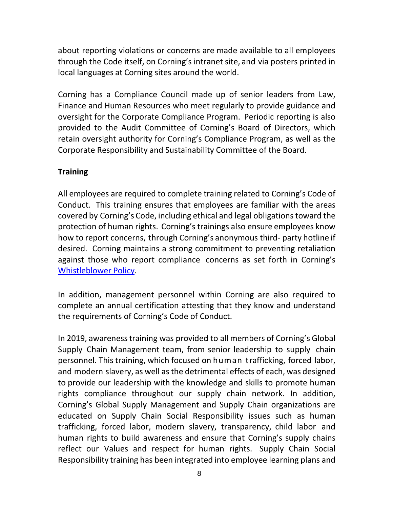about reporting violations or concerns are made available to all employees through the Code itself, on Corning's intranet site, and via posters printed in local languages at Corning sites around the world.

Corning has a Compliance Council made up of senior leaders from Law, Finance and Human Resources who meet regularly to provide guidance and oversight for the Corporate Compliance Program. Periodic reporting is also provided to the Audit Committee of Corning's Board of Directors, which retain oversight authority for Corning's Compliance Program, as well as the Corporate Responsibility and Sustainability Committee of the Board.

## **Training**

All employees are required to complete training related to Corning's Code of Conduct. This training ensures that employees are familiar with the areas covered by Corning's Code, including ethical and legal obligations toward the protection of human rights. Corning's trainings also ensure employees know how to report concerns, through Corning's anonymous third- party hotline if desired. Corning maintains a strong commitment to preventing retaliation against those who report compliance concerns as set forth in Corning's [Whistleblower](https://s22.q4cdn.com/662497847/files/doc_downloads/governance_documents/2019/07/Whistleblower-Policy_7_10_2019_final.pdf) Policy.

In addition, management personnel within Corning are also required to complete an annual certification attesting that they know and understand the requirements of Corning's Code of Conduct.

In 2019, awareness training was provided to all members of Corning's Global Supply Chain Management team, from senior leadership to supply chain personnel. This training, which focused on human trafficking, forced labor, and modern slavery, as well as the detrimental effects of each, was designed to provide our leadership with the knowledge and skills to promote human rights compliance throughout our supply chain network. In addition, Corning's Global Supply Management and Supply Chain organizations are educated on Supply Chain Social Responsibility issues such as human trafficking, forced labor, modern slavery, transparency, child labor and human rights to build awareness and ensure that Corning's supply chains reflect our Values and respect for human rights. Supply Chain Social Responsibility training has been integrated into employee learning plans and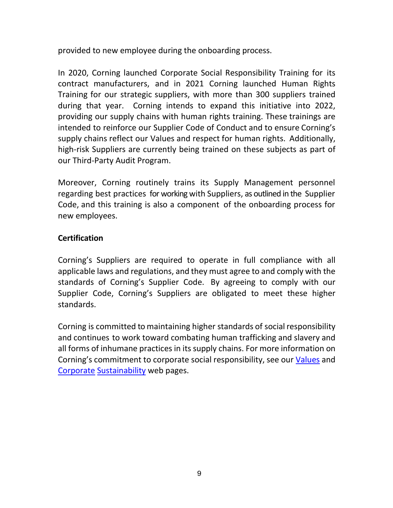provided to new employee during the onboarding process.

In 2020, Corning launched Corporate Social Responsibility Training for its contract manufacturers, and in 2021 Corning launched Human Rights Training for our strategic suppliers, with more than 300 suppliers trained during that year. Corning intends to expand this initiative into 2022, providing our supply chains with human rights training. These trainings are intended to reinforce our Supplier Code of Conduct and to ensure Corning's supply chains reflect our Values and respect for human rights. Additionally, high-risk Suppliers are currently being trained on these subjects as part of our Third-Party Audit Program.

Moreover, Corning routinely trains its Supply Management personnel regarding best practices for working with Suppliers, as outlined in the Supplier Code, and this training is also a component of the onboarding process for new employees.

# **Certification**

Corning's Suppliers are required to operate in full compliance with all applicable laws and regulations, and they must agree to and comply with the standards of Corning's Supplier Code. By agreeing to comply with our Supplier Code, Corning's Suppliers are obligated to meet these higher standards.

Corning is committed to maintaining higher standards of social responsibility and continues to work toward combating human trafficking and slavery and all forms of inhumane practices in its supply chains. For more information on Corning's commitment to corporate social responsibility, see our [Values](http://www.corning.com/worldwide/en/about-us/company-profile/our-values.html) and [Corporate](http://www.corning.com/worldwide/en/sustainability.html) [Sustainability](http://www.corning.com/worldwide/en/sustainability.html) web pages.